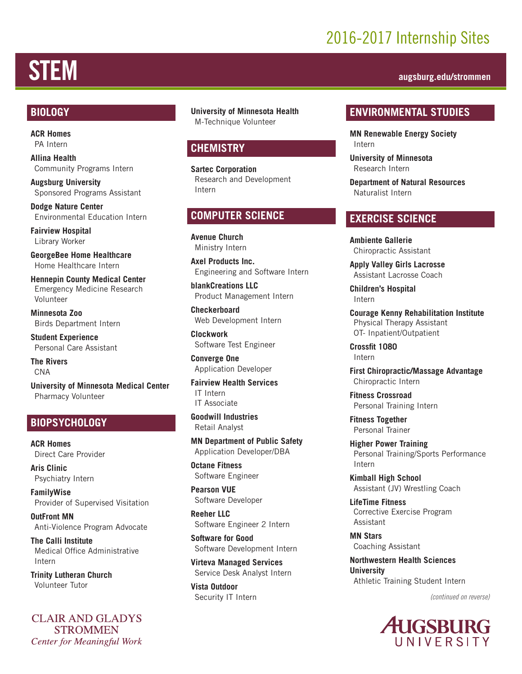## 2016-2017 Internship Sites

# STEM **augsburg.edu/strommen**

#### **BIOLOGY**

**ACR Homes** PA Intern

**Allina Health** Community Programs Intern

**Augsburg University** Sponsored Programs Assistant

**Dodge Nature Center** Environmental Education Intern

**Fairview Hospital** Library Worker

**GeorgeBee Home Healthcare** Home Healthcare Intern

**Hennepin County Medical Center** Emergency Medicine Research Volunteer

**Minnesota Zoo** Birds Department Intern

**Student Experience** Personal Care Assistant

**The Rivers** CNA

**University of Minnesota Medical Center** Pharmacy Volunteer

#### **BIOPSYCHOLOGY**

**ACR Homes** Direct Care Provider

**Aris Clinic** Psychiatry Intern

**FamilyWise** Provider of Supervised Visitation

**OutFront MN** Anti-Violence Program Advocate

**The Calli Institute** Medical Office Administrative Intern

**Trinity Lutheran Church** Volunteer Tutor

**CLAIR AND GLADYS STROMMEN Center for Meaningful Work**  **University of Minnesota Health** M-Technique Volunteer

#### **CHEMISTRY**

**Sartec Corporation** Research and Development Intern

#### **COMPUTER SCIENCE**

**Avenue Church** Ministry Intern

**Axel Products Inc.** Engineering and Software Intern

**blankCreations LLC** Product Management Intern

**Checkerboard** Web Development Intern

**Clockwork** Software Test Engineer

**Converge One** Application Developer

**Fairview Health Services** IT Intern IT Associate

**Goodwill Industries** Retail Analyst

**MN Department of Public Safety** Application Developer/DBA

**Octane Fitness** Software Engineer

**Pearson VUE** Software Developer

**Reeher LLC** Software Engineer 2 Intern

**Software for Good** Software Development Intern

**Virteva Managed Services** Service Desk Analyst Intern

**Vista Outdoor** Security IT Intern

#### **ENVIRONMENTAL STUDIES**

**MN Renewable Energy Society** Intern

**University of Minnesota** Research Intern

**Department of Natural Resources** Naturalist Intern

#### **EXERCISE SCIENCE**

**Ambiente Gallerie** Chiropractic Assistant

**Apply Valley Girls Lacrosse** Assistant Lacrosse Coach

**Children's Hospital** Intern

**Courage Kenny Rehabilitation Institute** Physical Therapy Assistant OT- Inpatient/Outpatient

**Crossfit 1080** Intern

**First Chiropractic/Massage Advantage** Chiropractic Intern

**Fitness Crossroad** Personal Training Intern

**Fitness Together** Personal Trainer

**Higher Power Training** Personal Training/Sports Performance Intern

**Kimball High School** Assistant (JV) Wrestling Coach

**LifeTime Fitness** Corrective Exercise Program Assistant

**MN Stars** Coaching Assistant

**Northwestern Health Sciences University** Athletic Training Student Intern

*(continued on reverse)*